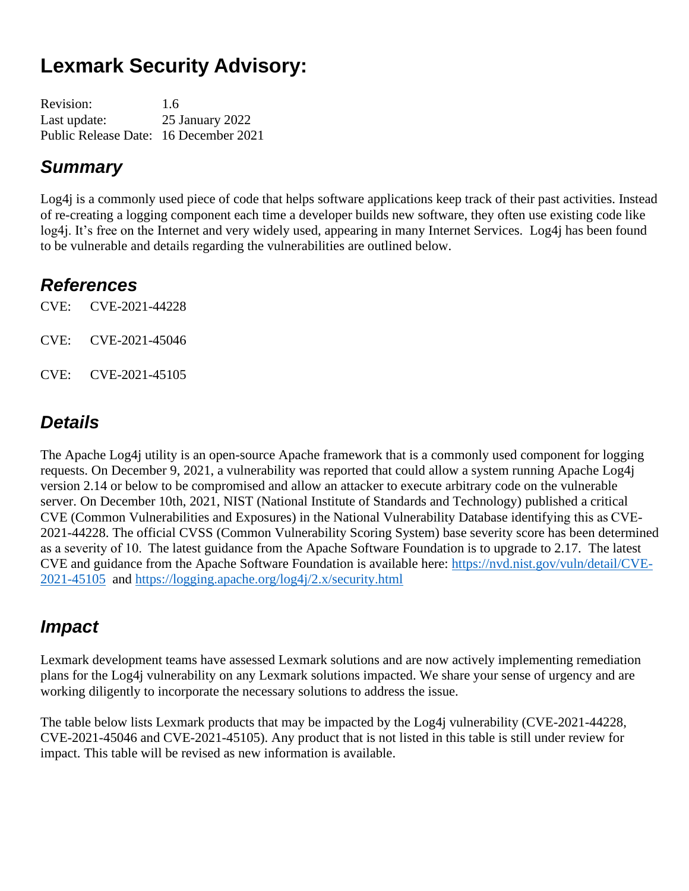# **Lexmark Security Advisory:**

| <b>Revision:</b>                      | 1.6             |
|---------------------------------------|-----------------|
| Last update:                          | 25 January 2022 |
| Public Release Date: 16 December 2021 |                 |

#### *Summary*

Log4j is a commonly used piece of code that helps software applications keep track of their past activities. Instead of re-creating a logging component each time a developer builds new software, they often use existing code like log4j. It's free on the Internet and very widely used, appearing in many Internet Services. Log4j has been found to be vulnerable and details regarding the vulnerabilities are outlined below.

#### *References*

CVE: CVE-2021-44228

CVE: CVE-2021-45046

CVE: CVE-2021-45105

### *Details*

The Apache Log4j utility is an open-source Apache framework that is a commonly used component for logging requests. On December 9, 2021, a vulnerability was reported that could allow a system running Apache Log4j version 2.14 or below to be compromised and allow an attacker to execute arbitrary code on the vulnerable server. On December 10th, 2021, NIST (National Institute of Standards and Technology) published a critical CVE (Common Vulnerabilities and Exposures) in the National Vulnerability Database identifying this as CVE-2021-44228. The official CVSS (Common Vulnerability Scoring System) base severity score has been determined as a severity of 10.  The latest guidance from the Apache Software Foundation is to upgrade to 2.17. The latest CVE and guidance from the Apache Software Foundation is available here: [https://nvd.nist.gov/vuln/detail/CVE-](https://nvd.nist.gov/vuln/detail/CVE-2021-45105)[2021-45105](https://nvd.nist.gov/vuln/detail/CVE-2021-45105) and <https://logging.apache.org/log4j/2.x/security.html>

### *Impact*

Lexmark development teams have assessed Lexmark solutions and are now actively implementing remediation plans for the Log4j vulnerability on any Lexmark solutions impacted. We share your sense of urgency and are working diligently to incorporate the necessary solutions to address the issue.

The table below lists Lexmark products that may be impacted by the Log4j vulnerability (CVE-2021-44228, CVE-2021-45046 and CVE-2021-45105). Any product that is not listed in this table is still under review for impact. This table will be revised as new information is available.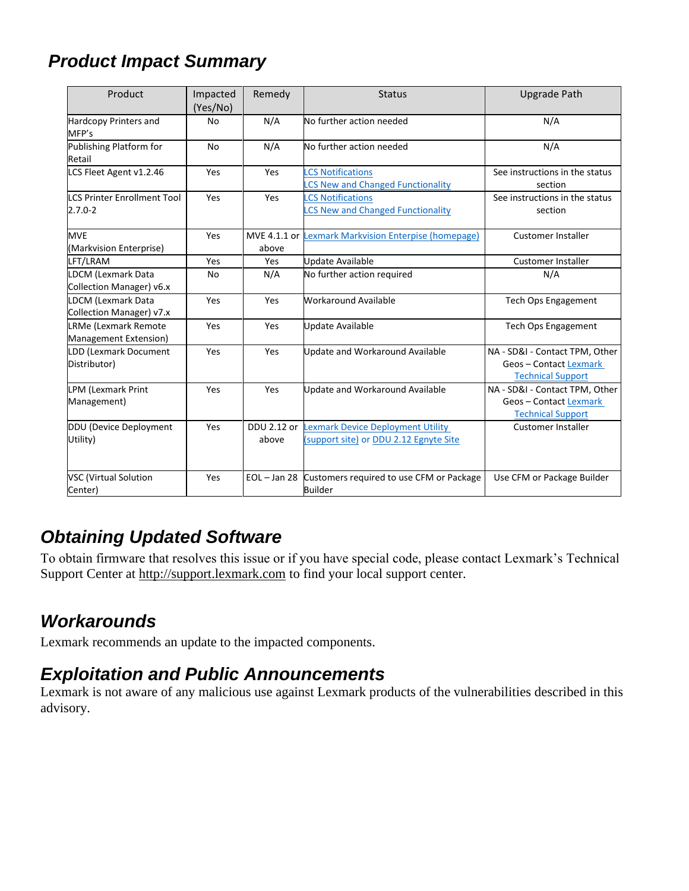## *Product Impact Summary*

| Product                                               | Impacted<br>(Yes/No) | Remedy                            | <b>Status</b>                                                              | <b>Upgrade Path</b>                                                                  |
|-------------------------------------------------------|----------------------|-----------------------------------|----------------------------------------------------------------------------|--------------------------------------------------------------------------------------|
| Hardcopy Printers and<br>MFP's                        | No                   | N/A                               | No further action needed                                                   | N/A                                                                                  |
| Publishing Platform for<br>Retail                     | No                   | N/A                               | No further action needed                                                   | N/A                                                                                  |
| LCS Fleet Agent v1.2.46                               | Yes                  | Yes                               | <b>CS Notifications</b><br><b>CS New and Changed Functionality</b>         | See instructions in the status<br>section                                            |
| <b>LCS Printer Enrollment Tool</b><br>$2.7.0 - 2$     | Yes                  | Yes                               | <b>CS Notifications</b><br><b>CS New and Changed Functionality</b>         | See instructions in the status<br>section                                            |
| <b>MVE</b><br>(Markvision Enterprise)                 | Yes                  | MVE 4.1.1 or $\parallel$<br>above | <b>Lexmark Markvision Enterpise (homepage)</b>                             | <b>Customer Installer</b>                                                            |
| LFT/LRAM                                              | Yes                  | Yes                               | <b>Update Available</b>                                                    | <b>Customer Installer</b>                                                            |
| <b>LDCM (Lexmark Data</b><br>Collection Manager) v6.x | No                   | N/A                               | No further action required                                                 | N/A                                                                                  |
| <b>LDCM (Lexmark Data</b><br>Collection Manager) v7.x | Yes                  | Yes                               | <b>Workaround Available</b>                                                | <b>Tech Ops Engagement</b>                                                           |
| <b>LRMe (Lexmark Remote</b><br>Management Extension)  | Yes                  | Yes                               | <b>Update Available</b>                                                    | <b>Tech Ops Engagement</b>                                                           |
| LDD (Lexmark Document<br>Distributor)                 | Yes                  | Yes                               | Update and Workaround Available                                            | NA - SD&I - Contact TPM, Other<br>Geos - Contact Lexmark<br><b>Technical Support</b> |
| <b>LPM (Lexmark Print</b><br>Management)              | Yes                  | Yes                               | Update and Workaround Available                                            | NA - SD&I - Contact TPM, Other<br>Geos-Contact Lexmark<br><b>Technical Support</b>   |
| DDU (Device Deployment<br>Utility)                    | Yes                  | DDU 2.12 or<br>above              | exmark Device Deployment Utility<br>(support site) or DDU 2.12 Egnyte Site | <b>Customer Installer</b>                                                            |
| <b>VSC</b> (Virtual Solution<br>Center)               | Yes                  | $EOL - Jan 28$                    | Customers required to use CFM or Package<br><b>Builder</b>                 | Use CFM or Package Builder                                                           |

#### *Obtaining Updated Software*

To obtain firmware that resolves this issue or if you have special code, please contact Lexmark's Technical Support Center at [http://support.lexmark.com](http://support.lexmark.com/) to find your local support center.

#### *Workarounds*

Lexmark recommends an update to the impacted components.

#### *Exploitation and Public Announcements*

Lexmark is not aware of any malicious use against Lexmark products of the vulnerabilities described in this advisory.